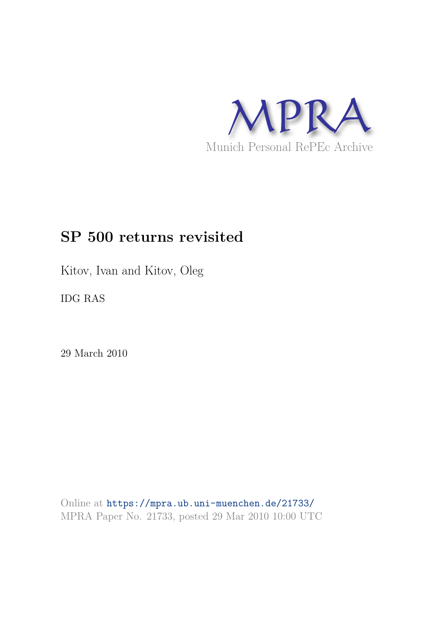

# **SP 500 returns revisited**

Kitov, Ivan and Kitov, Oleg

IDG RAS

29 March 2010

Online at https://mpra.ub.uni-muenchen.de/21733/ MPRA Paper No. 21733, posted 29 Mar 2010 10:00 UTC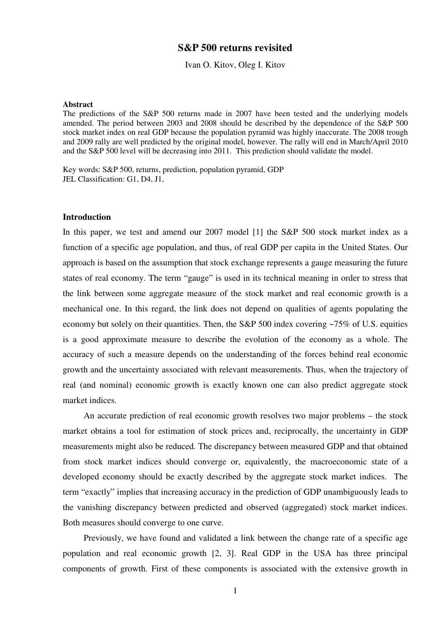## **S&P 500 returns revisited**

Ivan O. Kitov, Oleg I. Kitov

#### **Abstract**

The predictions of the S&P 500 returns made in 2007 have been tested and the underlying models amended. The period between 2003 and 2008 should be described by the dependence of the S&P 500 stock market index on real GDP because the population pyramid was highly inaccurate. The 2008 trough and 2009 rally are well predicted by the original model, however. The rally will end in March/April 2010 and the S&P 500 level will be decreasing into 2011. This prediction should validate the model.

Key words: S&P 500, returns, prediction, population pyramid, GDP JEL Classification: G1, D4, J1,

### **Introduction**

In this paper, we test and amend our 2007 model [1] the S&P 500 stock market index as a function of a specific age population, and thus, of real GDP per capita in the United States. Our approach is based on the assumption that stock exchange represents a gauge measuring the future states of real economy. The term "gauge" is used in its technical meaning in order to stress that the link between some aggregate measure of the stock market and real economic growth is a mechanical one. In this regard, the link does not depend on qualities of agents populating the economy but solely on their quantities. Then, the S&P 500 index covering ~75% of U.S. equities is a good approximate measure to describe the evolution of the economy as a whole. The accuracy of such a measure depends on the understanding of the forces behind real economic growth and the uncertainty associated with relevant measurements. Thus, when the trajectory of real (and nominal) economic growth is exactly known one can also predict aggregate stock market indices.

An accurate prediction of real economic growth resolves two major problems – the stock market obtains a tool for estimation of stock prices and, reciprocally, the uncertainty in GDP measurements might also be reduced. The discrepancy between measured GDP and that obtained from stock market indices should converge or, equivalently, the macroeconomic state of a developed economy should be exactly described by the aggregate stock market indices. The term "exactly" implies that increasing accuracy in the prediction of GDP unambiguously leads to the vanishing discrepancy between predicted and observed (aggregated) stock market indices. Both measures should converge to one curve.

Previously, we have found and validated a link between the change rate of a specific age population and real economic growth [2, 3]. Real GDP in the USA has three principal components of growth. First of these components is associated with the extensive growth in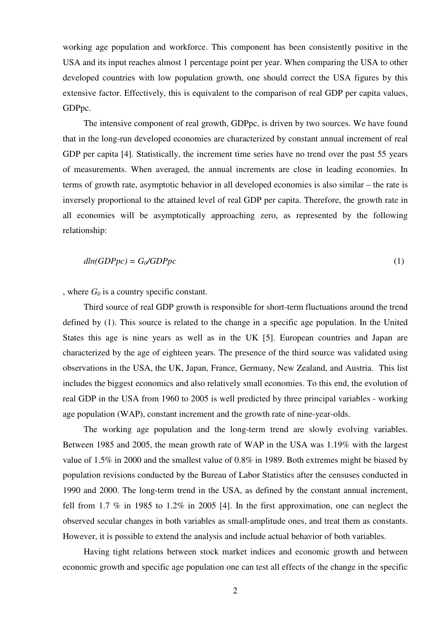working age population and workforce. This component has been consistently positive in the USA and its input reaches almost 1 percentage point per year. When comparing the USA to other developed countries with low population growth, one should correct the USA figures by this extensive factor. Effectively, this is equivalent to the comparison of real GDP per capita values, GDPpc.

The intensive component of real growth, GDPpc, is driven by two sources. We have found that in the long-run developed economies are characterized by constant annual increment of real GDP per capita [4]. Statistically, the increment time series have no trend over the past 55 years of measurements. When averaged, the annual increments are close in leading economies. In terms of growth rate, asymptotic behavior in all developed economies is also similar – the rate is inversely proportional to the attained level of real GDP per capita. Therefore, the growth rate in all economies will be asymptotically approaching zero, as represented by the following relationship:

$$
dln(GDPpc) = G_0/GDPpc
$$
 (1)

, where  $G_0$  is a country specific constant.

Third source of real GDP growth is responsible for short-term fluctuations around the trend defined by (1). This source is related to the change in a specific age population. In the United States this age is nine years as well as in the UK [5]. European countries and Japan are characterized by the age of eighteen years. The presence of the third source was validated using observations in the USA, the UK, Japan, France, Germany, New Zealand, and Austria. This list includes the biggest economics and also relatively small economies. To this end, the evolution of real GDP in the USA from 1960 to 2005 is well predicted by three principal variables - working age population (WAP), constant increment and the growth rate of nine-year-olds.

The working age population and the long-term trend are slowly evolving variables. Between 1985 and 2005, the mean growth rate of WAP in the USA was 1.19% with the largest value of 1.5% in 2000 and the smallest value of 0.8% in 1989. Both extremes might be biased by population revisions conducted by the Bureau of Labor Statistics after the censuses conducted in 1990 and 2000. The long-term trend in the USA, as defined by the constant annual increment, fell from 1.7 % in 1985 to 1.2% in 2005 [4]. In the first approximation, one can neglect the observed secular changes in both variables as small-amplitude ones, and treat them as constants. However, it is possible to extend the analysis and include actual behavior of both variables.

Having tight relations between stock market indices and economic growth and between economic growth and specific age population one can test all effects of the change in the specific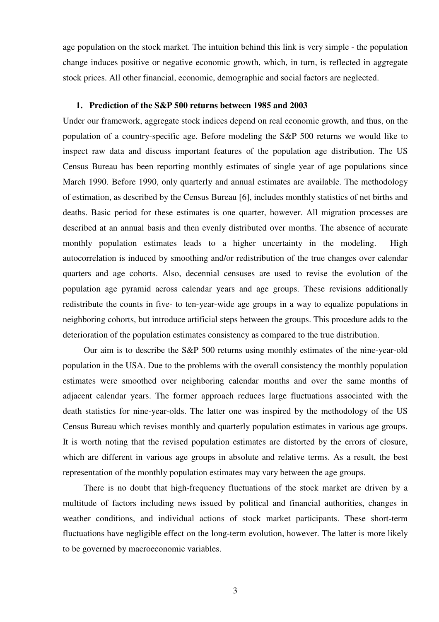age population on the stock market. The intuition behind this link is very simple - the population change induces positive or negative economic growth, which, in turn, is reflected in aggregate stock prices. All other financial, economic, demographic and social factors are neglected.

## **1. Prediction of the S&P 500 returns between 1985 and 2003**

Under our framework, aggregate stock indices depend on real economic growth, and thus, on the population of a country-specific age. Before modeling the S&P 500 returns we would like to inspect raw data and discuss important features of the population age distribution. The US Census Bureau has been reporting monthly estimates of single year of age populations since March 1990. Before 1990, only quarterly and annual estimates are available. The methodology of estimation, as described by the Census Bureau [6], includes monthly statistics of net births and deaths. Basic period for these estimates is one quarter, however. All migration processes are described at an annual basis and then evenly distributed over months. The absence of accurate monthly population estimates leads to a higher uncertainty in the modeling. High autocorrelation is induced by smoothing and/or redistribution of the true changes over calendar quarters and age cohorts. Also, decennial censuses are used to revise the evolution of the population age pyramid across calendar years and age groups. These revisions additionally redistribute the counts in five- to ten-year-wide age groups in a way to equalize populations in neighboring cohorts, but introduce artificial steps between the groups. This procedure adds to the deterioration of the population estimates consistency as compared to the true distribution.

Our aim is to describe the S&P 500 returns using monthly estimates of the nine-year-old population in the USA. Due to the problems with the overall consistency the monthly population estimates were smoothed over neighboring calendar months and over the same months of adjacent calendar years. The former approach reduces large fluctuations associated with the death statistics for nine-year-olds. The latter one was inspired by the methodology of the US Census Bureau which revises monthly and quarterly population estimates in various age groups. It is worth noting that the revised population estimates are distorted by the errors of closure, which are different in various age groups in absolute and relative terms. As a result, the best representation of the monthly population estimates may vary between the age groups.

There is no doubt that high-frequency fluctuations of the stock market are driven by a multitude of factors including news issued by political and financial authorities, changes in weather conditions, and individual actions of stock market participants. These short-term fluctuations have negligible effect on the long-term evolution, however. The latter is more likely to be governed by macroeconomic variables.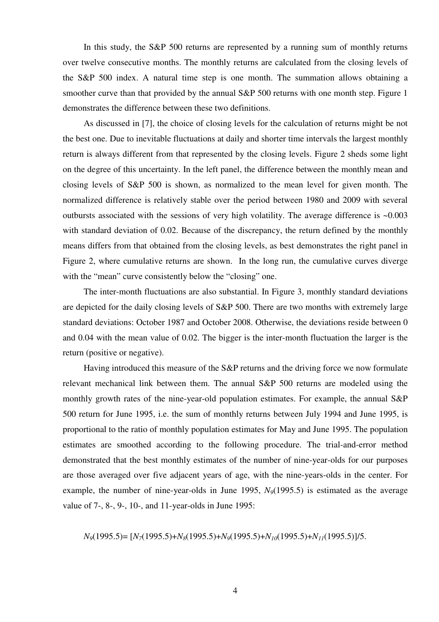In this study, the S&P 500 returns are represented by a running sum of monthly returns over twelve consecutive months. The monthly returns are calculated from the closing levels of the S&P 500 index. A natural time step is one month. The summation allows obtaining a smoother curve than that provided by the annual S&P 500 returns with one month step. Figure 1 demonstrates the difference between these two definitions.

As discussed in [7], the choice of closing levels for the calculation of returns might be not the best one. Due to inevitable fluctuations at daily and shorter time intervals the largest monthly return is always different from that represented by the closing levels. Figure 2 sheds some light on the degree of this uncertainty. In the left panel, the difference between the monthly mean and closing levels of S&P 500 is shown, as normalized to the mean level for given month. The normalized difference is relatively stable over the period between 1980 and 2009 with several outbursts associated with the sessions of very high volatility. The average difference is  $\sim 0.003$ with standard deviation of 0.02. Because of the discrepancy, the return defined by the monthly means differs from that obtained from the closing levels, as best demonstrates the right panel in Figure 2, where cumulative returns are shown. In the long run, the cumulative curves diverge with the "mean" curve consistently below the "closing" one.

The inter-month fluctuations are also substantial. In Figure 3, monthly standard deviations are depicted for the daily closing levels of S&P 500. There are two months with extremely large standard deviations: October 1987 and October 2008. Otherwise, the deviations reside between 0 and 0.04 with the mean value of 0.02. The bigger is the inter-month fluctuation the larger is the return (positive or negative).

Having introduced this measure of the S&P returns and the driving force we now formulate relevant mechanical link between them. The annual S&P 500 returns are modeled using the monthly growth rates of the nine-year-old population estimates. For example, the annual S&P 500 return for June 1995, i.e. the sum of monthly returns between July 1994 and June 1995, is proportional to the ratio of monthly population estimates for May and June 1995. The population estimates are smoothed according to the following procedure. The trial-and-error method demonstrated that the best monthly estimates of the number of nine-year-olds for our purposes are those averaged over five adjacent years of age, with the nine-years-olds in the center. For example, the number of nine-year-olds in June 1995, *N9*(1995.5) is estimated as the average value of 7-, 8-, 9-, 10-, and 11-year-olds in June 1995:

$$
N_9(1995.5) = [N_7(1995.5) + N_8(1995.5) + N_9(1995.5) + N_{10}(1995.5) + N_{11}(1995.5)]/5.
$$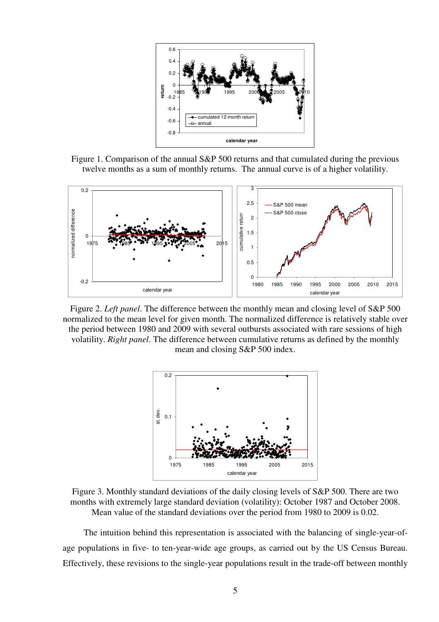

Figure 1. Comparison of the annual S&P 500 returns and that cumulated during the previous twelve months as a sum of monthly returns. The annual curve is of a higher volatility.



Figure 2. *Left panel*. The difference between the monthly mean and closing level of S&P 500 normalized to the mean level for given month. The normalized difference is relatively stable over the period between 1980 and 2009 with several outbursts associated with rare sessions of high volatility. *Right panel*. The difference between cumulative returns as defined by the monthly mean and closing S&P 500 index.



Figure 3. Monthly standard deviations of the daily closing levels of S&P 500. There are two months with extremely large standard deviation (volatility): October 1987 and October 2008. Mean value of the standard deviations over the period from 1980 to 2009 is 0.02.

The intuition behind this representation is associated with the balancing of single-year-ofage populations in five- to ten-year-wide age groups, as carried out by the US Census Bureau. Effectively, these revisions to the single-year populations result in the trade-off between monthly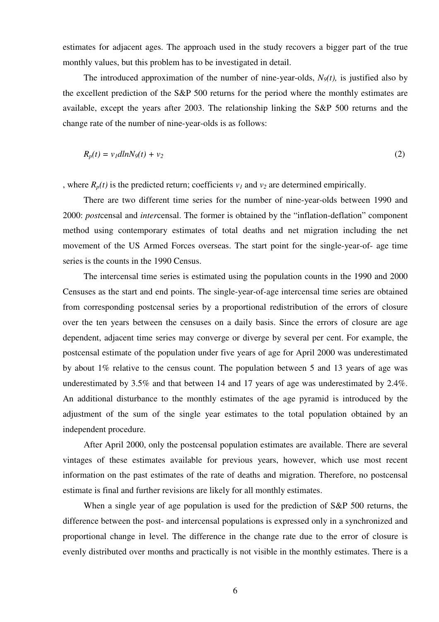estimates for adjacent ages. The approach used in the study recovers a bigger part of the true monthly values, but this problem has to be investigated in detail.

The introduced approximation of the number of nine-year-olds,  $N<sub>9</sub>(t)$ , is justified also by the excellent prediction of the S&P 500 returns for the period where the monthly estimates are available, except the years after 2003. The relationship linking the S&P 500 returns and the change rate of the number of nine-year-olds is as follows:

$$
R_p(t) = v_1 dln N_9(t) + v_2 \tag{2}
$$

, where  $R_p(t)$  is the predicted return; coefficients  $v_l$  and  $v_2$  are determined empirically.

There are two different time series for the number of nine-year-olds between 1990 and 2000: *post*censal and *inter*censal. The former is obtained by the "inflation-deflation" component method using contemporary estimates of total deaths and net migration including the net movement of the US Armed Forces overseas. The start point for the single-year-of- age time series is the counts in the 1990 Census.

The intercensal time series is estimated using the population counts in the 1990 and 2000 Censuses as the start and end points. The single-year-of-age intercensal time series are obtained from corresponding postcensal series by a proportional redistribution of the errors of closure over the ten years between the censuses on a daily basis. Since the errors of closure are age dependent, adjacent time series may converge or diverge by several per cent. For example, the postcensal estimate of the population under five years of age for April 2000 was underestimated by about 1% relative to the census count. The population between 5 and 13 years of age was underestimated by 3.5% and that between 14 and 17 years of age was underestimated by 2.4%. An additional disturbance to the monthly estimates of the age pyramid is introduced by the adjustment of the sum of the single year estimates to the total population obtained by an independent procedure.

After April 2000, only the postcensal population estimates are available. There are several vintages of these estimates available for previous years, however, which use most recent information on the past estimates of the rate of deaths and migration. Therefore, no postcensal estimate is final and further revisions are likely for all monthly estimates.

When a single year of age population is used for the prediction of S&P 500 returns, the difference between the post- and intercensal populations is expressed only in a synchronized and proportional change in level. The difference in the change rate due to the error of closure is evenly distributed over months and practically is not visible in the monthly estimates. There is a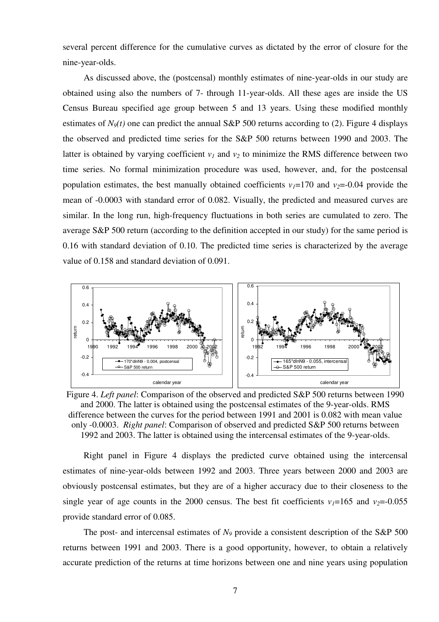several percent difference for the cumulative curves as dictated by the error of closure for the nine-year-olds.

As discussed above, the (postcensal) monthly estimates of nine-year-olds in our study are obtained using also the numbers of 7- through 11-year-olds. All these ages are inside the US Census Bureau specified age group between 5 and 13 years. Using these modified monthly estimates of  $N<sub>9</sub>(t)$  one can predict the annual S&P 500 returns according to (2). Figure 4 displays the observed and predicted time series for the S&P 500 returns between 1990 and 2003. The latter is obtained by varying coefficient  $v_1$  and  $v_2$  to minimize the RMS difference between two time series. No formal minimization procedure was used, however, and, for the postcensal population estimates, the best manually obtained coefficients  $v_1 = 170$  and  $v_2 = -0.04$  provide the mean of -0.0003 with standard error of 0.082. Visually, the predicted and measured curves are similar. In the long run, high-frequency fluctuations in both series are cumulated to zero. The average S&P 500 return (according to the definition accepted in our study) for the same period is 0.16 with standard deviation of 0.10. The predicted time series is characterized by the average value of 0.158 and standard deviation of 0.091.



Figure 4. *Left panel*: Comparison of the observed and predicted S&P 500 returns between 1990 and 2000. The latter is obtained using the postcensal estimates of the 9-year-olds. RMS difference between the curves for the period between 1991 and 2001 is 0.082 with mean value only -0.0003. *Right panel*: Comparison of observed and predicted S&P 500 returns between 1992 and 2003. The latter is obtained using the intercensal estimates of the 9-year-olds.

Right panel in Figure 4 displays the predicted curve obtained using the intercensal estimates of nine-year-olds between 1992 and 2003. Three years between 2000 and 2003 are obviously postcensal estimates, but they are of a higher accuracy due to their closeness to the single year of age counts in the 2000 census. The best fit coefficients  $v_1 = 165$  and  $v_2 = -0.055$ provide standard error of 0.085.

The post- and intercensal estimates of  $N<sub>9</sub>$  provide a consistent description of the S&P 500 returns between 1991 and 2003. There is a good opportunity, however, to obtain a relatively accurate prediction of the returns at time horizons between one and nine years using population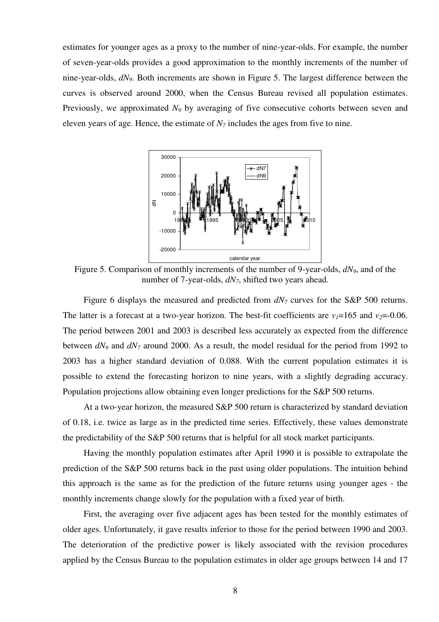estimates for younger ages as a proxy to the number of nine-year-olds. For example, the number of seven-year-olds provides a good approximation to the monthly increments of the number of nine-year-olds, *dN9*. Both increments are shown in Figure 5. The largest difference between the curves is observed around 2000, when the Census Bureau revised all population estimates. Previously, we approximated  $N<sub>9</sub>$  by averaging of five consecutive cohorts between seven and eleven years of age. Hence, the estimate of  $N<sub>7</sub>$  includes the ages from five to nine.



Figure 5. Comparison of monthly increments of the number of 9-year-olds, *dN9*, and of the number of 7-year-olds, *dN7*, shifted two years ahead.

Figure 6 displays the measured and predicted from *dN7* curves for the S&P 500 returns. The latter is a forecast at a two-year horizon. The best-fit coefficients are  $v_1 = 165$  and  $v_2 = -0.06$ . The period between 2001 and 2003 is described less accurately as expected from the difference between *dN9* and *dN7* around 2000. As a result, the model residual for the period from 1992 to 2003 has a higher standard deviation of 0.088. With the current population estimates it is possible to extend the forecasting horizon to nine years, with a slightly degrading accuracy. Population projections allow obtaining even longer predictions for the S&P 500 returns.

At a two-year horizon, the measured S&P 500 return is characterized by standard deviation of 0.18, i.e. twice as large as in the predicted time series. Effectively, these values demonstrate the predictability of the S&P 500 returns that is helpful for all stock market participants.

Having the monthly population estimates after April 1990 it is possible to extrapolate the prediction of the S&P 500 returns back in the past using older populations. The intuition behind this approach is the same as for the prediction of the future returns using younger ages - the monthly increments change slowly for the population with a fixed year of birth.

First, the averaging over five adjacent ages has been tested for the monthly estimates of older ages. Unfortunately, it gave results inferior to those for the period between 1990 and 2003. The deterioration of the predictive power is likely associated with the revision procedures applied by the Census Bureau to the population estimates in older age groups between 14 and 17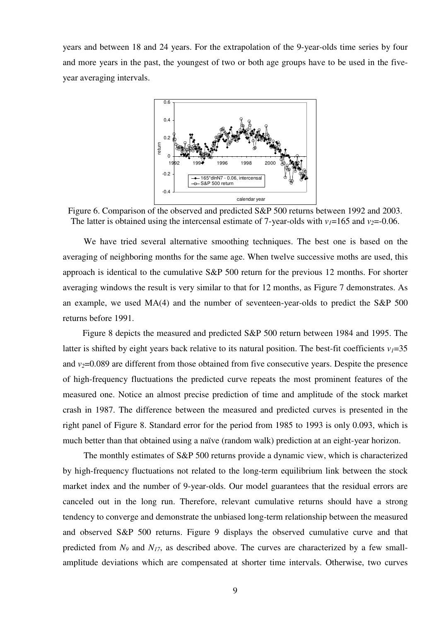years and between 18 and 24 years. For the extrapolation of the 9-year-olds time series by four and more years in the past, the youngest of two or both age groups have to be used in the fiveyear averaging intervals.



Figure 6. Comparison of the observed and predicted S&P 500 returns between 1992 and 2003. The latter is obtained using the intercensal estimate of 7-year-olds with  $v_1 = 165$  and  $v_2 = -0.06$ .

We have tried several alternative smoothing techniques. The best one is based on the averaging of neighboring months for the same age. When twelve successive moths are used, this approach is identical to the cumulative S&P 500 return for the previous 12 months. For shorter averaging windows the result is very similar to that for 12 months, as Figure 7 demonstrates. As an example, we used MA(4) and the number of seventeen-year-olds to predict the S&P 500 returns before 1991.

Figure 8 depicts the measured and predicted S&P 500 return between 1984 and 1995. The latter is shifted by eight years back relative to its natural position. The best-fit coefficients  $v_1 = 35$ and  $v_2$ =0.089 are different from those obtained from five consecutive years. Despite the presence of high-frequency fluctuations the predicted curve repeats the most prominent features of the measured one. Notice an almost precise prediction of time and amplitude of the stock market crash in 1987. The difference between the measured and predicted curves is presented in the right panel of Figure 8. Standard error for the period from 1985 to 1993 is only 0.093, which is much better than that obtained using a naïve (random walk) prediction at an eight-year horizon.

The monthly estimates of S&P 500 returns provide a dynamic view, which is characterized by high-frequency fluctuations not related to the long-term equilibrium link between the stock market index and the number of 9-year-olds. Our model guarantees that the residual errors are canceled out in the long run. Therefore, relevant cumulative returns should have a strong tendency to converge and demonstrate the unbiased long-term relationship between the measured and observed S&P 500 returns. Figure 9 displays the observed cumulative curve and that predicted from  $N_9$  and  $N_{17}$ , as described above. The curves are characterized by a few smallamplitude deviations which are compensated at shorter time intervals. Otherwise, two curves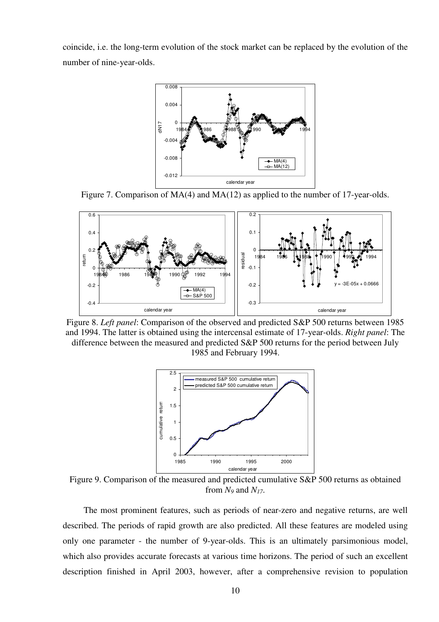coincide, i.e. the long-term evolution of the stock market can be replaced by the evolution of the number of nine-year-olds.



Figure 7. Comparison of MA(4) and MA(12) as applied to the number of 17-year-olds.



Figure 8. *Left panel*: Comparison of the observed and predicted S&P 500 returns between 1985 and 1994. The latter is obtained using the intercensal estimate of 17-year-olds. *Right panel*: The difference between the measured and predicted S&P 500 returns for the period between July 1985 and February 1994.



Figure 9. Comparison of the measured and predicted cumulative S&P 500 returns as obtained from  $N_9$  and  $N_{17}$ .

The most prominent features, such as periods of near-zero and negative returns, are well described. The periods of rapid growth are also predicted. All these features are modeled using only one parameter - the number of 9-year-olds. This is an ultimately parsimonious model, which also provides accurate forecasts at various time horizons. The period of such an excellent description finished in April 2003, however, after a comprehensive revision to population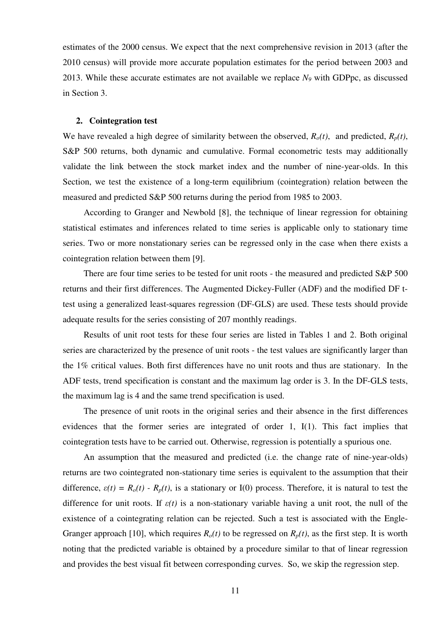estimates of the 2000 census. We expect that the next comprehensive revision in 2013 (after the 2010 census) will provide more accurate population estimates for the period between 2003 and 2013. While these accurate estimates are not available we replace *N9* with GDPpc, as discussed in Section 3.

## **2. Cointegration test**

We have revealed a high degree of similarity between the observed,  $R_o(t)$ , and predicted,  $R_p(t)$ , S&P 500 returns, both dynamic and cumulative. Formal econometric tests may additionally validate the link between the stock market index and the number of nine-year-olds. In this Section, we test the existence of a long-term equilibrium (cointegration) relation between the measured and predicted S&P 500 returns during the period from 1985 to 2003.

According to Granger and Newbold [8], the technique of linear regression for obtaining statistical estimates and inferences related to time series is applicable only to stationary time series. Two or more nonstationary series can be regressed only in the case when there exists a cointegration relation between them [9].

There are four time series to be tested for unit roots - the measured and predicted S&P 500 returns and their first differences. The Augmented Dickey-Fuller (ADF) and the modified DF ttest using a generalized least-squares regression (DF-GLS) are used. These tests should provide adequate results for the series consisting of 207 monthly readings.

Results of unit root tests for these four series are listed in Tables 1 and 2. Both original series are characterized by the presence of unit roots - the test values are significantly larger than the 1% critical values. Both first differences have no unit roots and thus are stationary. In the ADF tests, trend specification is constant and the maximum lag order is 3. In the DF-GLS tests, the maximum lag is 4 and the same trend specification is used.

The presence of unit roots in the original series and their absence in the first differences evidences that the former series are integrated of order 1, I(1). This fact implies that cointegration tests have to be carried out. Otherwise, regression is potentially a spurious one.

An assumption that the measured and predicted (i.e. the change rate of nine-year-olds) returns are two cointegrated non-stationary time series is equivalent to the assumption that their difference,  $\varepsilon(t) = R_o(t) - R_p(t)$ , is a stationary or I(0) process. Therefore, it is natural to test the difference for unit roots. If *ε(t)* is a non-stationary variable having a unit root, the null of the existence of a cointegrating relation can be rejected. Such a test is associated with the Engle-Granger approach [10], which requires  $R_o(t)$  to be regressed on  $R_p(t)$ , as the first step. It is worth noting that the predicted variable is obtained by a procedure similar to that of linear regression and provides the best visual fit between corresponding curves. So, we skip the regression step.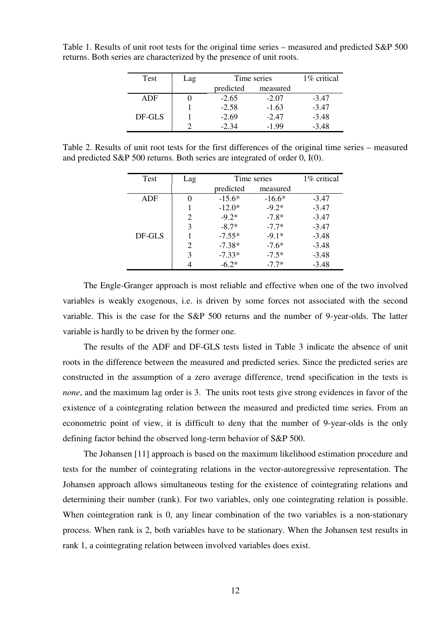| Test   | Lag | Time series | 1\% critical |         |
|--------|-----|-------------|--------------|---------|
|        |     | predicted   | measured     |         |
| ADF    |     | $-2.65$     | $-2.07$      | $-3.47$ |
|        |     | $-2.58$     | $-1.63$      | $-3.47$ |
| DF-GLS |     | $-2.69$     | $-2.47$      | $-3.48$ |
|        |     | $-2.34$     | $-1.99$      | $-3.48$ |

Table 1. Results of unit root tests for the original time series – measured and predicted S&P 500 returns. Both series are characterized by the presence of unit roots.

Table 2. Results of unit root tests for the first differences of the original time series – measured and predicted S&P 500 returns. Both series are integrated of order 0, I(0).

| Test   | Lag | Time series | 1\% critical |         |
|--------|-----|-------------|--------------|---------|
|        |     | predicted   | measured     |         |
| ADF    | 0   | $-15.6*$    | $-16.6*$     | $-3.47$ |
|        |     | $-12.0*$    | $-9.2*$      | $-3.47$ |
|        | 2   | $-9.2*$     | $-7.8*$      | $-3.47$ |
|        | 3   | $-8.7*$     | $-7.7*$      | $-3.47$ |
| DF-GLS |     | $-7.55*$    | $-9.1*$      | $-3.48$ |
|        | 2   | $-7.38*$    | $-7.6*$      | $-3.48$ |
|        | 3   | $-7.33*$    | $-7.5*$      | $-3.48$ |
|        |     | $-6.2*$     | $-7.7*$      | $-3.48$ |

The Engle-Granger approach is most reliable and effective when one of the two involved variables is weakly exogenous, i.e. is driven by some forces not associated with the second variable. This is the case for the S&P 500 returns and the number of 9-year-olds. The latter variable is hardly to be driven by the former one.

The results of the ADF and DF-GLS tests listed in Table 3 indicate the absence of unit roots in the difference between the measured and predicted series. Since the predicted series are constructed in the assumption of a zero average difference, trend specification in the tests is *none*, and the maximum lag order is 3. The units root tests give strong evidences in favor of the existence of a cointegrating relation between the measured and predicted time series. From an econometric point of view, it is difficult to deny that the number of 9-year-olds is the only defining factor behind the observed long-term behavior of S&P 500.

The Johansen [11] approach is based on the maximum likelihood estimation procedure and tests for the number of cointegrating relations in the vector-autoregressive representation. The Johansen approach allows simultaneous testing for the existence of cointegrating relations and determining their number (rank). For two variables, only one cointegrating relation is possible. When cointegration rank is 0, any linear combination of the two variables is a non-stationary process. When rank is 2, both variables have to be stationary. When the Johansen test results in rank 1, a cointegrating relation between involved variables does exist.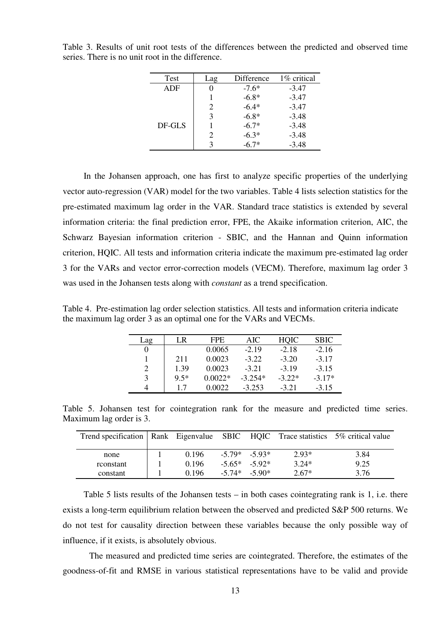| Test   | Lag                         | Difference | 1\% critical |
|--------|-----------------------------|------------|--------------|
| ADF    |                             | $-7.6*$    | $-3.47$      |
|        |                             | $-6.8*$    | $-3.47$      |
|        | 2                           | $-6.4*$    | $-3.47$      |
|        | 3                           | $-6.8*$    | $-3.48$      |
| DF-GLS |                             | $-6.7*$    | $-3.48$      |
|        | $\mathcal{D}_{\mathcal{L}}$ | $-6.3*$    | $-3.48$      |
|        | 3                           | $-6.7*$    | $-3.48$      |

Table 3. Results of unit root tests of the differences between the predicted and observed time series. There is no unit root in the difference.

In the Johansen approach, one has first to analyze specific properties of the underlying vector auto-regression (VAR) model for the two variables. Table 4 lists selection statistics for the pre-estimated maximum lag order in the VAR. Standard trace statistics is extended by several information criteria: the final prediction error, FPE, the Akaike information criterion, AIC, the Schwarz Bayesian information criterion - SBIC, and the Hannan and Quinn information criterion, HQIC. All tests and information criteria indicate the maximum pre-estimated lag order 3 for the VARs and vector error-correction models (VECM). Therefore, maximum lag order 3 was used in the Johansen tests along with *constant* as a trend specification.

Table 4. Pre-estimation lag order selection statistics. All tests and information criteria indicate the maximum lag order 3 as an optimal one for the VARs and VECMs.

| ag | LR     | FPE.      | AIC       | <b>HOIC</b> | <b>SBIC</b> |
|----|--------|-----------|-----------|-------------|-------------|
|    |        | 0.0065    | $-2.19$   | $-2.18$     | $-2.16$     |
|    | 211    | 0.0023    | $-3.22$   | $-3.20$     | $-3.17$     |
| 2  | 1.39   | 0.0023    | $-3.21$   | $-3.19$     | $-3.15$     |
| 3  | $9.5*$ | $0.0022*$ | $-3.254*$ | $-3.22*$    | $-3.17*$    |
|    | 1.7    | 0.0022    | $-3.253$  | $-3.21$     | $-3.15$     |

Table 5. Johansen test for cointegration rank for the measure and predicted time series. Maximum lag order is 3.

| Trend specification   Rank Eigenvalue SBIC HQIC Trace statistics 5% critical value |       |                   |          |         |      |
|------------------------------------------------------------------------------------|-------|-------------------|----------|---------|------|
| none                                                                               | 0.196 | $-5.79*$ $-5.93*$ |          | $2.93*$ | 3.84 |
| rconstant                                                                          | 0.196 | $-5.65* -5.92*$   |          | $3.24*$ | 9.25 |
| constant                                                                           | 0.196 | $-5.74*$          | $-5.90*$ | $2.67*$ | 3.76 |

Table 5 lists results of the Johansen tests – in both cases cointegrating rank is 1, i.e. there exists a long-term equilibrium relation between the observed and predicted S&P 500 returns. We do not test for causality direction between these variables because the only possible way of influence, if it exists, is absolutely obvious.

The measured and predicted time series are cointegrated. Therefore, the estimates of the goodness-of-fit and RMSE in various statistical representations have to be valid and provide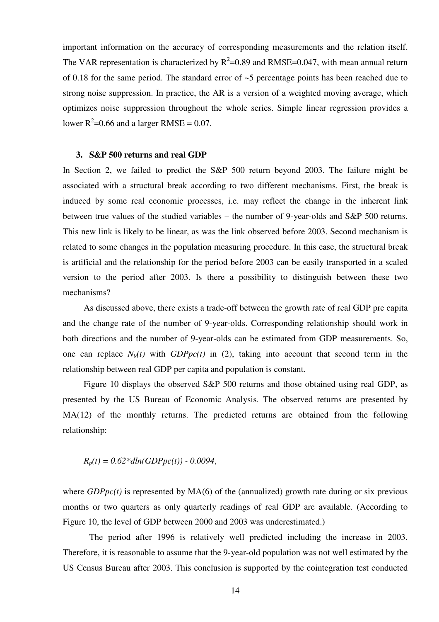important information on the accuracy of corresponding measurements and the relation itself. The VAR representation is characterized by  $R^2$ =0.89 and RMSE=0.047, with mean annual return of 0.18 for the same period. The standard error of ~5 percentage points has been reached due to strong noise suppression. In practice, the AR is a version of a weighted moving average, which optimizes noise suppression throughout the whole series. Simple linear regression provides a lower  $R^2$ =0.66 and a larger RMSE = 0.07.

### **3. S**&**P 500 returns and real GDP**

In Section 2, we failed to predict the S&P 500 return beyond 2003. The failure might be associated with a structural break according to two different mechanisms. First, the break is induced by some real economic processes, i.e. may reflect the change in the inherent link between true values of the studied variables – the number of 9-year-olds and S&P 500 returns. This new link is likely to be linear, as was the link observed before 2003. Second mechanism is related to some changes in the population measuring procedure. In this case, the structural break is artificial and the relationship for the period before 2003 can be easily transported in a scaled version to the period after 2003. Is there a possibility to distinguish between these two mechanisms?

As discussed above, there exists a trade-off between the growth rate of real GDP pre capita and the change rate of the number of 9-year-olds. Corresponding relationship should work in both directions and the number of 9-year-olds can be estimated from GDP measurements. So, one can replace  $N<sub>9</sub>(t)$  with  $GDPpc(t)$  in (2), taking into account that second term in the relationship between real GDP per capita and population is constant.

Figure 10 displays the observed S&P 500 returns and those obtained using real GDP, as presented by the US Bureau of Economic Analysis. The observed returns are presented by MA(12) of the monthly returns. The predicted returns are obtained from the following relationship:

$$
R_p(t) = 0.62 * dln(GDPpc(t)) - 0.0094,
$$

where  $GDPpc(t)$  is represented by  $MA(6)$  of the (annualized) growth rate during or six previous months or two quarters as only quarterly readings of real GDP are available. (According to Figure 10, the level of GDP between 2000 and 2003 was underestimated.)

The period after 1996 is relatively well predicted including the increase in 2003. Therefore, it is reasonable to assume that the 9-year-old population was not well estimated by the US Census Bureau after 2003. This conclusion is supported by the cointegration test conducted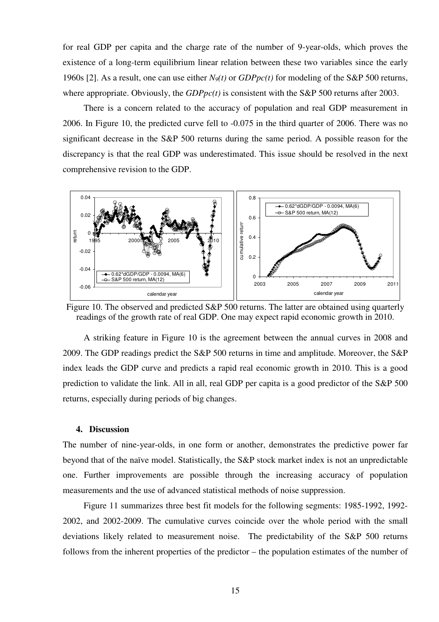for real GDP per capita and the charge rate of the number of 9-year-olds, which proves the existence of a long-term equilibrium linear relation between these two variables since the early 1960s [2]. As a result, one can use either  $N<sub>9</sub>(t)$  or  $GDPpc(t)$  for modeling of the S&P 500 returns, where appropriate. Obviously, the *GDPpc(t)* is consistent with the S&P 500 returns after 2003.

There is a concern related to the accuracy of population and real GDP measurement in 2006. In Figure 10, the predicted curve fell to -0.075 in the third quarter of 2006. There was no significant decrease in the S&P 500 returns during the same period. A possible reason for the discrepancy is that the real GDP was underestimated. This issue should be resolved in the next comprehensive revision to the GDP.



Figure 10. The observed and predicted S&P 500 returns. The latter are obtained using quarterly readings of the growth rate of real GDP. One may expect rapid economic growth in 2010.

A striking feature in Figure 10 is the agreement between the annual curves in 2008 and 2009. The GDP readings predict the S&P 500 returns in time and amplitude. Moreover, the S&P index leads the GDP curve and predicts a rapid real economic growth in 2010. This is a good prediction to validate the link. All in all, real GDP per capita is a good predictor of the S&P 500 returns, especially during periods of big changes.

#### **4. Discussion**

The number of nine-year-olds, in one form or another, demonstrates the predictive power far beyond that of the naïve model. Statistically, the S&P stock market index is not an unpredictable one. Further improvements are possible through the increasing accuracy of population measurements and the use of advanced statistical methods of noise suppression.

Figure 11 summarizes three best fit models for the following segments: 1985-1992, 1992- 2002, and 2002-2009. The cumulative curves coincide over the whole period with the small deviations likely related to measurement noise. The predictability of the S&P 500 returns follows from the inherent properties of the predictor – the population estimates of the number of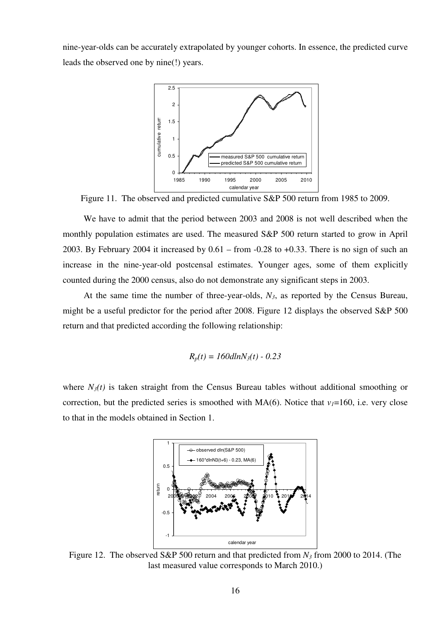nine-year-olds can be accurately extrapolated by younger cohorts. In essence, the predicted curve leads the observed one by nine(!) years.



Figure 11. The observed and predicted cumulative S&P 500 return from 1985 to 2009.

We have to admit that the period between 2003 and 2008 is not well described when the monthly population estimates are used. The measured S&P 500 return started to grow in April 2003. By February 2004 it increased by 0.61 – from -0.28 to +0.33. There is no sign of such an increase in the nine-year-old postcensal estimates. Younger ages, some of them explicitly counted during the 2000 census, also do not demonstrate any significant steps in 2003.

At the same time the number of three-year-olds, *N3*, as reported by the Census Bureau, might be a useful predictor for the period after 2008. Figure 12 displays the observed S&P 500 return and that predicted according the following relationship:

$$
R_p(t) = 160dlnN_3(t) - 0.23
$$

where  $N_3(t)$  is taken straight from the Census Bureau tables without additional smoothing or correction, but the predicted series is smoothed with  $MA(6)$ . Notice that  $v_1=160$ , i.e. very close to that in the models obtained in Section 1.



Figure 12. The observed S&P 500 return and that predicted from *N3* from 2000 to 2014. (The last measured value corresponds to March 2010.)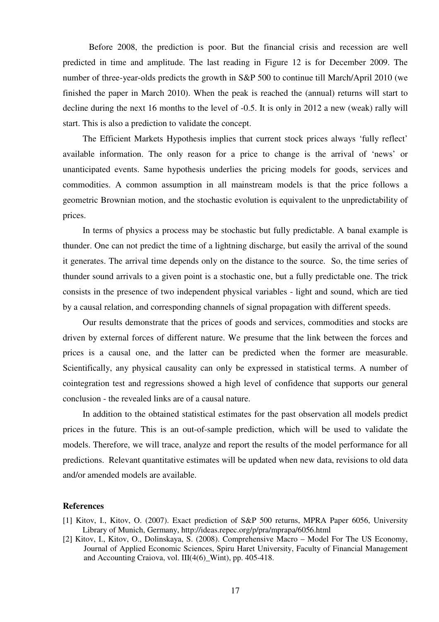Before 2008, the prediction is poor. But the financial crisis and recession are well predicted in time and amplitude. The last reading in Figure 12 is for December 2009. The number of three-year-olds predicts the growth in S&P 500 to continue till March/April 2010 (we finished the paper in March 2010). When the peak is reached the (annual) returns will start to decline during the next 16 months to the level of -0.5. It is only in 2012 a new (weak) rally will start. This is also a prediction to validate the concept.

The Efficient Markets Hypothesis implies that current stock prices always 'fully reflect' available information. The only reason for a price to change is the arrival of 'news' or unanticipated events. Same hypothesis underlies the pricing models for goods, services and commodities. A common assumption in all mainstream models is that the price follows a geometric Brownian motion, and the stochastic evolution is equivalent to the unpredictability of prices.

In terms of physics a process may be stochastic but fully predictable. A banal example is thunder. One can not predict the time of a lightning discharge, but easily the arrival of the sound it generates. The arrival time depends only on the distance to the source. So, the time series of thunder sound arrivals to a given point is a stochastic one, but a fully predictable one. The trick consists in the presence of two independent physical variables - light and sound, which are tied by a causal relation, and corresponding channels of signal propagation with different speeds.

Our results demonstrate that the prices of goods and services, commodities and stocks are driven by external forces of different nature. We presume that the link between the forces and prices is a causal one, and the latter can be predicted when the former are measurable. Scientifically, any physical causality can only be expressed in statistical terms. A number of cointegration test and regressions showed a high level of confidence that supports our general conclusion - the revealed links are of a causal nature.

In addition to the obtained statistical estimates for the past observation all models predict prices in the future. This is an out-of-sample prediction, which will be used to validate the models. Therefore, we will trace, analyze and report the results of the model performance for all predictions. Relevant quantitative estimates will be updated when new data, revisions to old data and/or amended models are available.

## **References**

- [1] Kitov, I., Kitov, O. (2007). Exact prediction of S&P 500 returns, MPRA Paper 6056, University Library of Munich, Germany, http://ideas.repec.org/p/pra/mprapa/6056.html
- [2] Kitov, I., Kitov, O., Dolinskaya, S. (2008). Comprehensive Macro Model For The US Economy, Journal of Applied Economic Sciences, Spiru Haret University, Faculty of Financial Management and Accounting Craiova, vol. III(4(6) Wint), pp. 405-418.